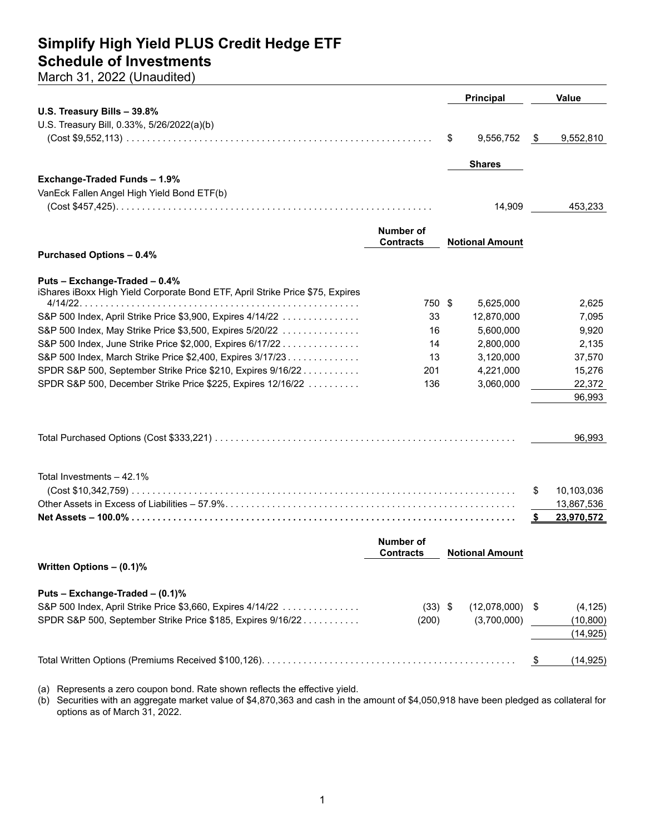### **Simplify High Yield PLUS Credit Hedge ETF Schedule of Investments**

March 31, 2022 (Unaudited)

|                                                                               |                                      | <b>Principal</b>       |                | <b>Value</b> |
|-------------------------------------------------------------------------------|--------------------------------------|------------------------|----------------|--------------|
| U.S. Treasury Bills - 39.8%                                                   |                                      |                        |                |              |
| U.S. Treasury Bill, 0.33%, 5/26/2022(a)(b)                                    |                                      |                        |                |              |
|                                                                               |                                      | \$<br>9,556,752        | -\$            | 9,552,810    |
|                                                                               |                                      | <b>Shares</b>          |                |              |
| Exchange-Traded Funds - 1.9%                                                  |                                      |                        |                |              |
| VanEck Fallen Angel High Yield Bond ETF(b)                                    |                                      |                        |                |              |
|                                                                               |                                      | 14,909                 |                | 453,233      |
|                                                                               | <b>Number of</b>                     |                        |                |              |
|                                                                               | <b>Contracts</b>                     | <b>Notional Amount</b> |                |              |
| <b>Purchased Options - 0.4%</b>                                               |                                      |                        |                |              |
| Puts - Exchange-Traded - 0.4%                                                 |                                      |                        |                |              |
| iShares iBoxx High Yield Corporate Bond ETF, April Strike Price \$75, Expires |                                      |                        |                |              |
|                                                                               | 750 \$                               | 5,625,000              |                | 2,625        |
| S&P 500 Index, April Strike Price \$3,900, Expires 4/14/22                    | 33                                   | 12,870,000             |                | 7,095        |
| S&P 500 Index, May Strike Price \$3,500, Expires 5/20/22                      | 16                                   | 5,600,000              |                | 9,920        |
| S&P 500 Index, June Strike Price \$2,000, Expires 6/17/22                     | 14                                   | 2,800,000              |                | 2,135        |
| S&P 500 Index, March Strike Price \$2,400, Expires 3/17/23.                   | 13                                   | 3,120,000              |                | 37,570       |
| SPDR S&P 500, September Strike Price \$210, Expires 9/16/22                   | 201                                  | 4,221,000              |                | 15,276       |
| SPDR S&P 500, December Strike Price \$225, Expires 12/16/22                   | 136                                  | 3,060,000              |                | 22,372       |
|                                                                               |                                      |                        |                | 96,993       |
|                                                                               |                                      |                        |                | 96,993       |
|                                                                               |                                      |                        |                |              |
| Total Investments - 42.1%                                                     |                                      |                        |                |              |
|                                                                               |                                      |                        | \$             | 10,103,036   |
|                                                                               |                                      |                        |                | 13,867,536   |
|                                                                               |                                      |                        | \$             | 23,970,572   |
|                                                                               | <b>Number of</b><br><b>Contracts</b> | <b>Notional Amount</b> |                |              |
| Written Options - (0.1)%                                                      |                                      |                        |                |              |
|                                                                               |                                      |                        |                |              |
| Puts - Exchange-Traded - (0.1)%                                               |                                      |                        |                |              |
| S&P 500 Index, April Strike Price \$3,660, Expires 4/14/22                    | $(33)$ \$                            | (12,078,000)           | \$             | (4, 125)     |
| SPDR S&P 500, September Strike Price \$185, Expires 9/16/22                   | (200)                                | (3,700,000)            |                | (10, 800)    |
|                                                                               |                                      |                        |                | (14, 925)    |
|                                                                               |                                      |                        | $\mathfrak{F}$ | (14, 925)    |
|                                                                               |                                      |                        |                |              |

(a) Represents a zero coupon bond. Rate shown reflects the effective yield.

(b) Securities with an aggregate market value of \$4,870,363 and cash in the amount of \$4,050,918 have been pledged as collateral for options as of March 31, 2022.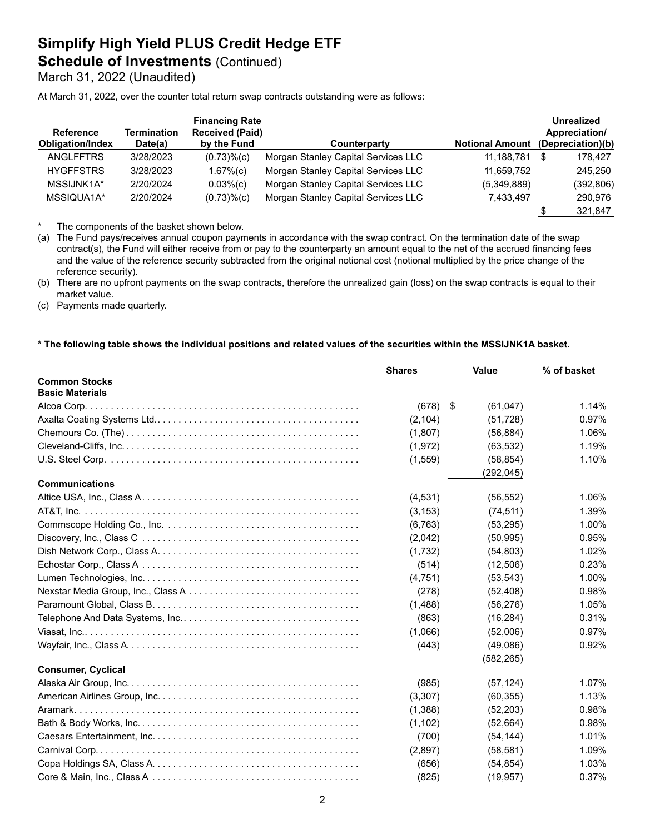**Schedule of Investments (Continued)** 

March 31, 2022 (Unaudited)

At March 31, 2022, over the counter total return swap contracts outstanding were as follows:

| <b>Reference</b><br><b>Obligation/Index</b> | Termination<br>Date(a) | <b>Financing Rate</b><br><b>Received (Paid)</b><br>by the Fund | Counterparty                        | <b>Notional Amount</b> | Unrealized<br>Appreciation/<br>(Depreciation)(b) |
|---------------------------------------------|------------------------|----------------------------------------------------------------|-------------------------------------|------------------------|--------------------------------------------------|
| <b>ANGLFFTRS</b>                            | 3/28/2023              | $(0.73)$ % $(c)$                                               | Morgan Stanley Capital Services LLC | 11.188.781             | \$<br>178.427                                    |
| <b>HYGFFSTRS</b>                            | 3/28/2023              | 1.67%(c)                                                       | Morgan Stanley Capital Services LLC | 11,659,752             | 245.250                                          |
| MSSIJNK1A*                                  | 2/20/2024              | $0.03%$ (c)                                                    | Morgan Stanley Capital Services LLC | (5,349,889)            | (392,806)                                        |
| MSSIQUA1A*                                  | 2/20/2024              | $(0.73)$ % $(c)$                                               | Morgan Stanley Capital Services LLC | 7,433,497              | 290,976                                          |
|                                             |                        |                                                                |                                     |                        | 321,847                                          |

\* The components of the basket shown below.

(a) The Fund pays/receives annual coupon payments in accordance with the swap contract. On the termination date of the swap contract(s), the Fund will either receive from or pay to the counterparty an amount equal to the net of the accrued financing fees and the value of the reference security subtracted from the original notional cost (notional multiplied by the price change of the reference security).

(b) There are no upfront payments on the swap contracts, therefore the unrealized gain (loss) on the swap contracts is equal to their market value.

(c) Payments made quarterly.

#### **\* The following table shows the individual positions and related values of the securities within the MSSIJNK1A basket.**

|                           | <b>Shares</b> | <b>Value</b>   | % of basket |
|---------------------------|---------------|----------------|-------------|
| <b>Common Stocks</b>      |               |                |             |
| <b>Basic Materials</b>    |               |                |             |
|                           | (678)         | \$<br>(61,047) | 1.14%       |
|                           | (2, 104)      | (51, 728)      | 0.97%       |
|                           | (1,807)       | (56, 884)      | 1.06%       |
|                           | (1,972)       | (63, 532)      | 1.19%       |
|                           | (1,559)       | (58, 854)      | 1.10%       |
|                           |               | (292, 045)     |             |
| <b>Communications</b>     |               |                |             |
|                           | (4,531)       | (56, 552)      | 1.06%       |
|                           | (3, 153)      | (74, 511)      | 1.39%       |
|                           | (6, 763)      | (53, 295)      | 1.00%       |
|                           | (2,042)       | (50, 995)      | 0.95%       |
|                           | (1,732)       | (54, 803)      | 1.02%       |
|                           | (514)         | (12,506)       | 0.23%       |
|                           | (4,751)       | (53, 543)      | 1.00%       |
|                           | (278)         | (52, 408)      | 0.98%       |
|                           | (1,488)       | (56, 276)      | 1.05%       |
|                           | (863)         | (16, 284)      | 0.31%       |
|                           | (1,066)       | (52,006)       | 0.97%       |
|                           | (443)         | (49,086)       | 0.92%       |
|                           |               | (582, 265)     |             |
| <b>Consumer, Cyclical</b> |               |                |             |
|                           | (985)         | (57, 124)      | 1.07%       |
|                           | (3,307)       | (60, 355)      | 1.13%       |
|                           | (1,388)       | (52, 203)      | 0.98%       |
|                           | (1, 102)      | (52, 664)      | 0.98%       |
|                           | (700)         | (54, 144)      | 1.01%       |
|                           | (2,897)       | (58, 581)      | 1.09%       |
|                           | (656)         | (54, 854)      | 1.03%       |
|                           | (825)         | (19, 957)      | 0.37%       |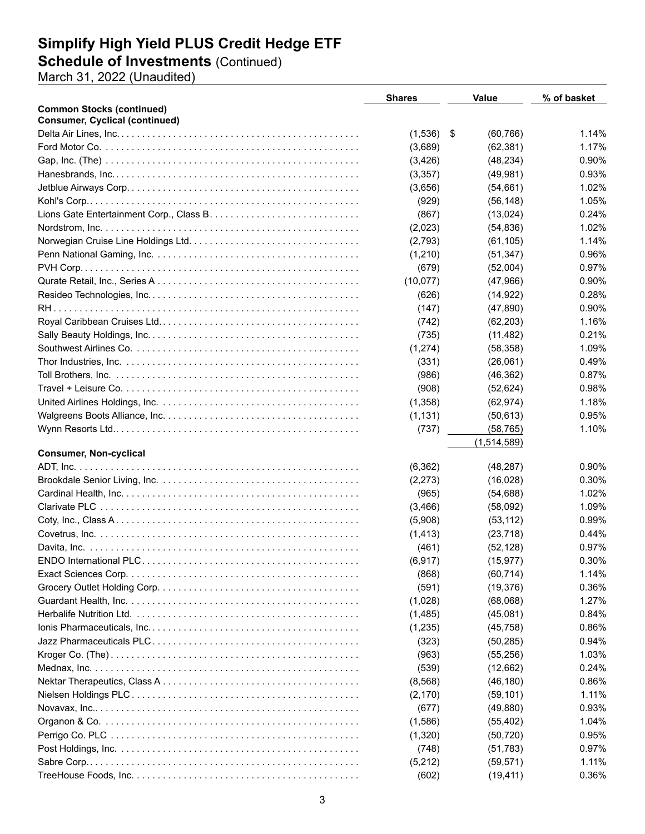### **Schedule of Investments** (Continued)

March 31, 2022 (Unaudited)

|                                       | <b>Shares</b> | <b>Value</b>    | % of basket |
|---------------------------------------|---------------|-----------------|-------------|
| <b>Common Stocks (continued)</b>      |               |                 |             |
| <b>Consumer, Cyclical (continued)</b> |               |                 |             |
|                                       | (1,536)       | \$<br>(60, 766) | 1.14%       |
|                                       | (3,689)       | (62, 381)       | 1.17%       |
|                                       | (3, 426)      | (48, 234)       | 0.90%       |
|                                       | (3,357)       | (49, 981)       | 0.93%       |
|                                       | (3,656)       | (54, 661)       | 1.02%       |
|                                       | (929)         | (56, 148)       | 1.05%       |
|                                       | (867)         | (13,024)        | 0.24%       |
|                                       | (2,023)       | (54, 836)       | 1.02%       |
|                                       | (2,793)       | (61, 105)       | 1.14%       |
|                                       | (1,210)       | (51, 347)       | 0.96%       |
|                                       | (679)         | (52,004)        | 0.97%       |
|                                       | (10,077)      | (47,966)        | 0.90%       |
|                                       | (626)         | (14, 922)       | 0.28%       |
|                                       | (147)         | (47, 890)       | 0.90%       |
|                                       | (742)         | (62, 203)       | 1.16%       |
|                                       | (735)         | (11, 482)       | 0.21%       |
|                                       | (1, 274)      | (58, 358)       | 1.09%       |
|                                       | (331)         | (26,061)        | 0.49%       |
|                                       | (986)         | (46, 362)       | 0.87%       |
|                                       | (908)         | (52, 624)       | 0.98%       |
|                                       | (1,358)       | (62, 974)       | 1.18%       |
|                                       | (1, 131)      | (50, 613)       | 0.95%       |
|                                       | (737)         | (58, 765)       | 1.10%       |
|                                       |               | (1,514,589)     |             |
| <b>Consumer, Non-cyclical</b>         |               |                 |             |
|                                       | (6, 362)      | (48, 287)       | $0.90\%$    |
|                                       | (2, 273)      | (16,028)        | 0.30%       |
|                                       | (965)         | (54, 688)       | 1.02%       |
|                                       | (3, 466)      | (58,092)        | 1.09%       |
|                                       | (5,908)       | (53, 112)       | 0.99%       |
|                                       | (1, 413)      | (23, 718)       | 0.44%       |
|                                       | (461)         | (52, 128)       | 0.97%       |
|                                       | (6, 917)      | (15, 977)       | 0.30%       |
|                                       | (868)         | (60, 714)       | 1.14%       |
|                                       | (591)         | (19, 376)       | 0.36%       |
|                                       | (1,028)       | (68,068)        | 1.27%       |
|                                       |               |                 | 0.84%       |
|                                       | (1,485)       | (45,081)        |             |
|                                       | (1,235)       | (45, 758)       | 0.86%       |
|                                       | (323)         | (50, 285)       | 0.94%       |
|                                       | (963)         | (55, 256)       | 1.03%       |
|                                       | (539)         | (12,662)        | 0.24%       |
|                                       | (8, 568)      | (46, 180)       | 0.86%       |
|                                       | (2, 170)      | (59, 101)       | 1.11%       |
|                                       | (677)         | (49, 880)       | 0.93%       |
|                                       | (1,586)       | (55, 402)       | 1.04%       |
|                                       | (1,320)       | (50, 720)       | 0.95%       |
|                                       | (748)         | (51, 783)       | 0.97%       |
|                                       | (5,212)       | (59, 571)       | 1.11%       |
|                                       | (602)         | (19, 411)       | 0.36%       |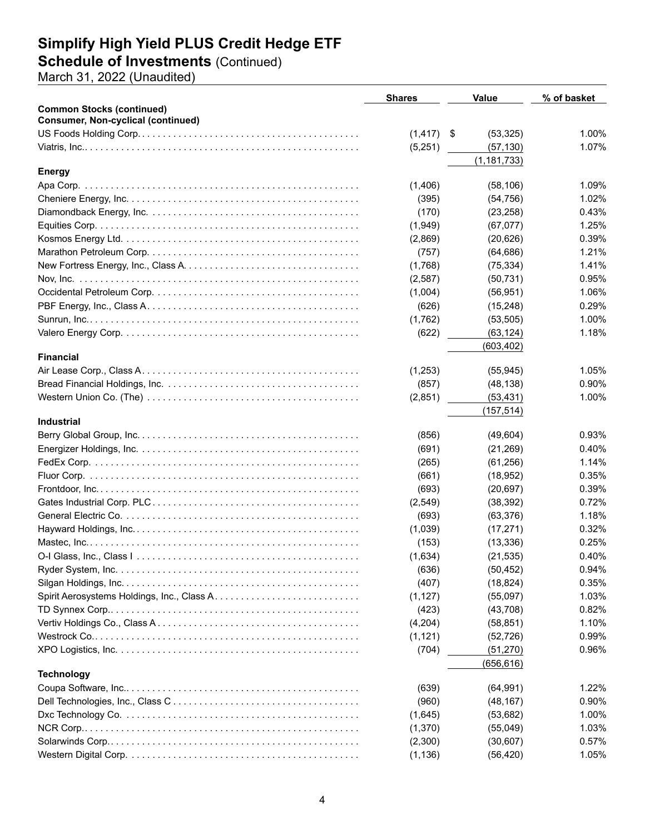### **Schedule of Investments** (Continued)

March 31, 2022 (Unaudited)

|                                           | <b>Shares</b> | <b>Value</b>    | % of basket |
|-------------------------------------------|---------------|-----------------|-------------|
| <b>Common Stocks (continued)</b>          |               |                 |             |
| <b>Consumer, Non-cyclical (continued)</b> |               |                 |             |
|                                           | (1, 417)      | \$<br>(53, 325) | 1.00%       |
|                                           | (5,251)       | (57, 130)       | 1.07%       |
|                                           |               | (1, 181, 733)   |             |
| <b>Energy</b>                             |               |                 |             |
|                                           | (1,406)       | (58, 106)       | 1.09%       |
|                                           | (395)         | (54, 756)       | 1.02%       |
|                                           | (170)         | (23, 258)       | 0.43%       |
|                                           | (1,949)       | (67, 077)       | 1.25%       |
|                                           | (2,869)       | (20, 626)       | 0.39%       |
|                                           | (757)         | (64, 686)       | 1.21%       |
|                                           | (1,768)       | (75, 334)       | 1.41%       |
|                                           | (2,587)       | (50, 731)       | 0.95%       |
|                                           | (1,004)       | (56, 951)       | 1.06%       |
|                                           | (626)         | (15,248)        | 0.29%       |
|                                           | (1,762)       | (53, 505)       | 1.00%       |
|                                           | (622)         | (63, 124)       | 1.18%       |
|                                           |               | (603, 402)      |             |
| <b>Financial</b>                          |               |                 |             |
|                                           | (1,253)       | (55, 945)       | 1.05%       |
|                                           | (857)         | (48, 138)       | 0.90%       |
|                                           | (2,851)       | (53, 431)       | 1.00%       |
| <b>Industrial</b>                         |               | (157, 514)      |             |
|                                           |               |                 | 0.93%       |
|                                           | (856)         | (49,604)        | 0.40%       |
|                                           | (691)         | (21, 269)       |             |
|                                           | (265)         | (61, 256)       | 1.14%       |
|                                           | (661)         | (18, 952)       | 0.35%       |
|                                           | (693)         | (20, 697)       | 0.39%       |
|                                           | (2,549)       | (38, 392)       | 0.72%       |
|                                           | (693)         | (63, 376)       | 1.18%       |
|                                           | (1,039)       | (17, 271)       | 0.32%       |
|                                           | (153)         | (13, 336)       | 0.25%       |
|                                           | (1,634)       | (21, 535)       | 0.40%       |
|                                           | (636)         | (50, 452)       | 0.94%       |
|                                           | (407)         | (18, 824)       | 0.35%       |
|                                           | (1, 127)      | (55,097)        | 1.03%       |
|                                           | (423)         | (43,708)        | 0.82%       |
|                                           | (4,204)       | (58, 851)       | 1.10%       |
|                                           | (1, 121)      | (52, 726)       | 0.99%       |
|                                           | (704)         | (51, 270)       | 0.96%       |
|                                           |               | (656, 616)      |             |
| <b>Technology</b>                         |               |                 |             |
|                                           | (639)         | (64, 991)       | 1.22%       |
|                                           | (960)         | (48, 167)       | 0.90%       |
|                                           | (1,645)       | (53, 682)       | 1.00%       |
|                                           | (1,370)       | (55,049)        | 1.03%       |
|                                           | (2,300)       | (30,607)        | 0.57%       |
|                                           | (1, 136)      | (56, 420)       | 1.05%       |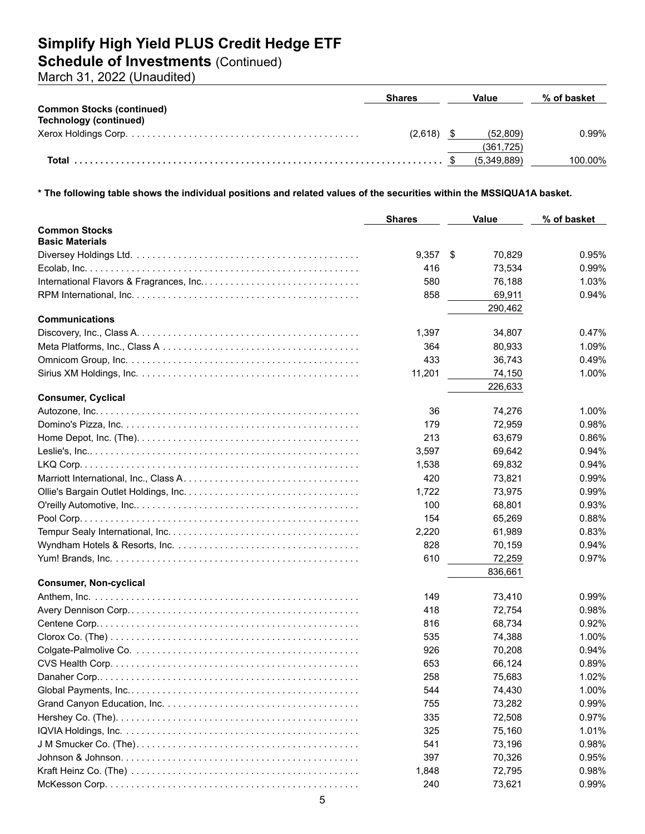### **Schedule of Investments** (Continued)

March 31, 2022 (Unaudited)

|                                  | <b>Shares</b> | Value       | % of basket |
|----------------------------------|---------------|-------------|-------------|
| <b>Common Stocks (continued)</b> |               |             |             |
| Technology (continued)           |               |             |             |
|                                  | (2.618)       | (52.809)    | 0.99%       |
|                                  |               | (361.725)   |             |
|                                  |               | (5.349.889) | 100.00%     |

**\* The following table shows the individual positions and related values of the securities within the MSSIQUA1A basket.**

|                                                                                                                     | <b>Shares</b> | <b>Value</b> | % of basket |
|---------------------------------------------------------------------------------------------------------------------|---------------|--------------|-------------|
| <b>Common Stocks</b><br><b>Basic Materials</b>                                                                      |               |              |             |
|                                                                                                                     | $9,357$ \$    | 70,829       | 0.95%       |
|                                                                                                                     | 416           | 73,534       | 0.99%       |
|                                                                                                                     | 580           | 76,188       | 1.03%       |
|                                                                                                                     | 858           | 69,911       | 0.94%       |
|                                                                                                                     |               | 290,462      |             |
| <b>Communications</b>                                                                                               |               |              |             |
|                                                                                                                     | 1,397         | 34,807       | 0.47%       |
|                                                                                                                     | 364           | 80,933       | 1.09%       |
|                                                                                                                     | 433           | 36,743       | 0.49%       |
|                                                                                                                     | 11,201        | 74,150       | 1.00%       |
|                                                                                                                     |               | 226,633      |             |
| <b>Consumer, Cyclical</b>                                                                                           |               |              |             |
|                                                                                                                     | 36            | 74,276       | 1.00%       |
|                                                                                                                     | 179           | 72,959       | 0.98%       |
| Home Depot, Inc. (The). $\dots \dots \dots \dots \dots \dots \dots \dots \dots \dots \dots \dots \dots \dots \dots$ | 213           | 63,679       | 0.86%       |
|                                                                                                                     | 3,597         | 69,642       | 0.94%       |
|                                                                                                                     | 1,538         | 69,832       | 0.94%       |
|                                                                                                                     | 420           | 73,821       | 0.99%       |
|                                                                                                                     | 1,722         | 73,975       | 0.99%       |
|                                                                                                                     | 100           | 68,801       | 0.93%       |
|                                                                                                                     | 154           | 65,269       | 0.88%       |
|                                                                                                                     | 2,220         | 61,989       | 0.83%       |
|                                                                                                                     | 828           | 70,159       | 0.94%       |
|                                                                                                                     | 610           | 72,259       | 0.97%       |
|                                                                                                                     |               | 836,661      |             |
| <b>Consumer, Non-cyclical</b>                                                                                       |               |              |             |
|                                                                                                                     | 149           | 73,410       | 0.99%       |
|                                                                                                                     | 418           | 72,754       | 0.98%       |
|                                                                                                                     | 816           | 68,734       | 0.92%       |
|                                                                                                                     | 535           | 74,388       | 1.00%       |
|                                                                                                                     | 926           | 70,208       | 0.94%       |
|                                                                                                                     | 653           | 66,124       | 0.89%       |
|                                                                                                                     | 258           | 75,683       | 1.02%       |
|                                                                                                                     | 544           | 74,430       | 1.00%       |
|                                                                                                                     | 755           | 73,282       | 0.99%       |
|                                                                                                                     | 335           | 72,508       | 0.97%       |
|                                                                                                                     | 325           | 75,160       | 1.01%       |
|                                                                                                                     | 541           | 73,196       | 0.98%       |
|                                                                                                                     | 397           | 70,326       | 0.95%       |
|                                                                                                                     | 1,848         | 72,795       | 0.98%       |
|                                                                                                                     | 240           | 73,621       | 0.99%       |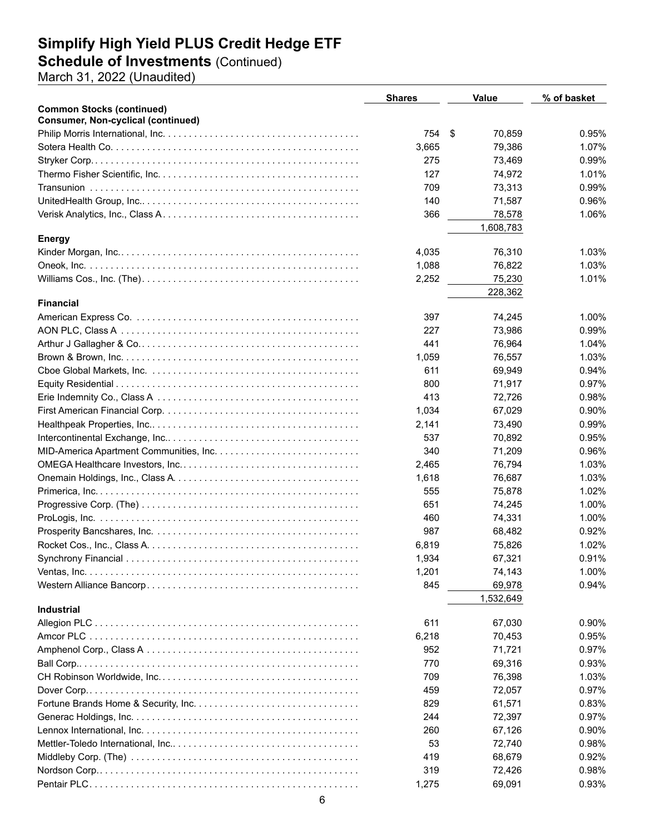### **Schedule of Investments** (Continued)

March 31, 2022 (Unaudited)

|                                           | <b>Shares</b> | <b>Value</b> | % of basket |
|-------------------------------------------|---------------|--------------|-------------|
| <b>Common Stocks (continued)</b>          |               |              |             |
| <b>Consumer, Non-cyclical (continued)</b> |               |              |             |
|                                           | 754           | \$<br>70,859 | 0.95%       |
|                                           | 3,665         | 79,386       | 1.07%       |
|                                           | 275           | 73,469       | 0.99%       |
|                                           | 127           | 74,972       | 1.01%       |
|                                           | 709           | 73,313       | 0.99%       |
|                                           | 140           | 71,587       | 0.96%       |
|                                           | 366           | 78,578       | 1.06%       |
|                                           |               | 1,608,783    |             |
| <b>Energy</b>                             |               |              |             |
|                                           | 4,035         | 76,310       | 1.03%       |
|                                           | 1,088         | 76,822       | 1.03%       |
|                                           | 2,252         | 75,230       | 1.01%       |
|                                           |               | 228,362      |             |
| <b>Financial</b>                          |               |              |             |
|                                           | 397           | 74,245       | 1.00%       |
|                                           | 227           | 73,986       | 0.99%       |
|                                           | 441           | 76,964       | 1.04%       |
|                                           | 1,059         | 76,557       | 1.03%       |
|                                           | 611           | 69,949       | $0.94\%$    |
|                                           | 800           | 71,917       | 0.97%       |
|                                           | 413           | 72,726       | 0.98%       |
|                                           | 1,034         | 67,029       | 0.90%       |
|                                           | 2,141         | 73,490       | 0.99%       |
|                                           | 537           | 70,892       | 0.95%       |
|                                           | 340           | 71,209       | 0.96%       |
|                                           | 2,465         | 76,794       | 1.03%       |
|                                           | 1,618         | 76,687       | 1.03%       |
|                                           | 555           | 75,878       | 1.02%       |
|                                           | 651           | 74,245       | 1.00%       |
|                                           | 460           | 74,331       | 1.00%       |
|                                           | 987           | 68,482       | 0.92%       |
|                                           | 6,819         | 75,826       | 1.02%       |
|                                           | 1,934         | 67,321       | 0.91%       |
|                                           | 1,201         | 74,143       | 1.00%       |
|                                           | 845           | 69,978       | 0.94%       |
|                                           |               | 1,532,649    |             |
| Industrial                                |               |              |             |
|                                           | 611           | 67,030       | 0.90%       |
|                                           | 6,218         | 70,453       | 0.95%       |
|                                           | 952           | 71,721       | 0.97%       |
|                                           | 770           | 69,316       | 0.93%       |
|                                           | 709           | 76,398       | 1.03%       |
|                                           | 459           | 72,057       | 0.97%       |
|                                           | 829           | 61,571       | 0.83%       |
|                                           | 244           | 72,397       | 0.97%       |
|                                           |               |              |             |
|                                           | 260           | 67,126       | 0.90%       |
|                                           | 53            | 72,740       | 0.98%       |
|                                           | 419           | 68,679       | 0.92%       |
|                                           | 319           | 72,426       | 0.98%       |
|                                           | 1,275         | 69,091       | 0.93%       |